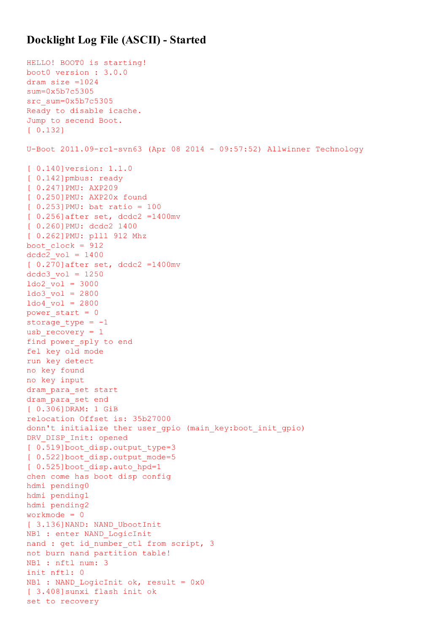## Docklight Log File (ASCII) - Started

```
HELLO! BOOT0 is starting!
boot0 version : 3.0.0
dram size =1024
sum=0x5b7c5305
src sum=0x5b7c5305
Ready to disable icache.
Jump to secend Boot.
[ 0.132]
U-Boot 2011.09-rc1-svn63 (Apr 08 2014 - 09:57:52) Allwinner Technology
[ 0.140]version: 1.1.0
[ 0.142]pmbus: ready
[ 0.247]PMU: AXP209
[ 0.250]PMU: AXP20x found
[ 0.253]PMU: bat ratio = 100
[ 0.256]after set, dcdc2 =1400mv
[ 0.260 ] PMU: dcdc2 1400
[ 0.262]PMU: pll1 912 Mhz
boot clock = 912dcdc2 vol = 1400
[ 0.270]after set, dcdc2 =1400mv
dcdc3 vol = 1250
1do2 vol = 3000
1do3 vol = 2800
1do4 vol = 2800power start = 0storage type = -1usb recovery = 1find power_sply to end
fel key old mode
run key detect
no key found
no key input
dram_para_set start
dram_para_set end
[ 0.306]DRAM: 1 GiB
relocation Offset is: 35b27000
donn't initialize ther user gpio (main key:boot init gpio)
DRV DISP Init: opened
[ 0.519]boot disp.output type=3
[ 0.522]boot disp.output mode=5
[ 0.525]boot disp.auto hpd=1
chen come has boot disp config
hdmi pending0
hdmi pending1
hdmi pending2
workmode = 0
[ 3.136]NAND: NAND UbootInit
NB1 : enter NAND_LogicInit
nand : get id number ctl from script, 3
not burn nand partition table!
NB1 : nftl num: 3
init nftl: 0
NB1 : NAND LogicInit ok, result = 0x0
[ 3.408]sunxi flash init ok
set to recovery
```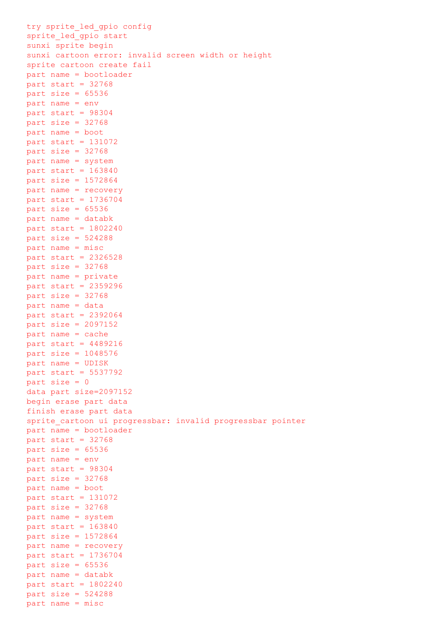```
try sprite led gpio config
sprite led gpio start
sunxi sprite begin
sunxi cartoon error: invalid screen width or height
sprite cartoon create fail
part name = bootloader
part start = 32768part size = 65536part name = env
part start = 98304
part size = 32768
part name = boot
part start = 131072
part size = 32768part name = system
part start = 163840part size = 1572864part name = recovery
part start = 1736704
part size = 65536part name = databk
part start = 1802240part size = 524288part name = misc
part start = 2326528
part size = 32768part name = private
part start = 2359296
part size = 32768
part name = data
part start = 2392064
part size = 2097152
part name = cache
part start = 4489216part size = 1048576
part name = UDISK
part start = 5537792
part size = 0
data part size=2097152
begin erase part data
finish erase part data
sprite cartoon ui progressbar: invalid progressbar pointer
part name = bootloader
part start = 32768part size = 65536part name = env
part start = 98304
part size = 32768part name = boot
part start = 131072part size = 32768part name = system
part start = 163840part size = 1572864
part name = recovery
part start = 1736704
part size = 65536part name = databk
part start = 1802240part size = 524288part name = misc
```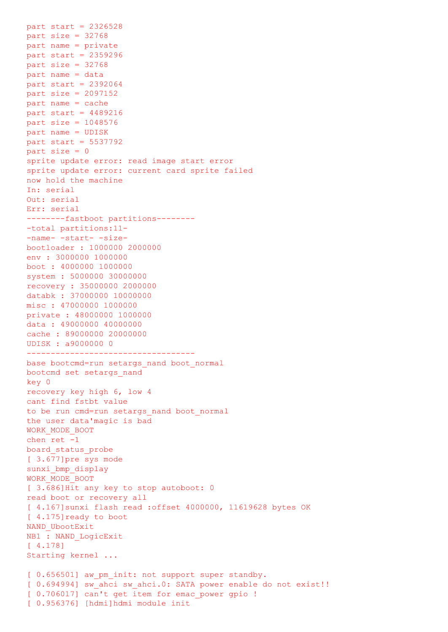part start = 2326528 part size = 32768 part name = private part start = 2359296 part size =  $32768$ part name = data part start = 2392064 part size = 2097152 part name = cache part start = 4489216 part size = 1048576 part name = UDISK part start = 5537792 part  $size = 0$ sprite update error: read image start error sprite update error: current card sprite failed now hold the machine In: serial Out: serial Err: serial --------fastboot partitions-------- -total partitions:11- -name- -start- -sizebootloader : 1000000 2000000 env : 3000000 1000000 boot : 4000000 1000000 system : 5000000 30000000 recovery : 35000000 2000000 databk : 37000000 10000000 misc : 47000000 1000000 private : 48000000 1000000 data : 49000000 40000000 cache : 89000000 20000000 UDISK : a9000000 0 ---------------------------------- base bootcmd=run setargs nand boot normal bootcmd set setargs\_nand key 0 recovery key high 6, low 4 cant find fstbt value to be run cmd=run setargs\_nand boot\_normal the user data'magic is bad WORK\_MODE\_BOOT chen ret -1 board\_status\_probe [ 3.677]pre sys mode sunxi\_bmp\_display WORK\_MODE\_BOOT [ 3.686]Hit any key to stop autoboot: 0 read boot or recovery all [ 4.167]sunxi flash read :offset 4000000, 11619628 bytes OK [ 4.175] ready to boot NAND\_UbootExit NB1 : NAND\_LogicExit [ 4.178] Starting kernel ... [  $0.656501$ ] aw pm init: not support super standby. [ 0.694994] sw ahci sw ahci.0: SATA power enable do not exist!! [  $0.706017$ ] can't get item for emac power gpio ! [ 0.956376] [hdmi]hdmi module init